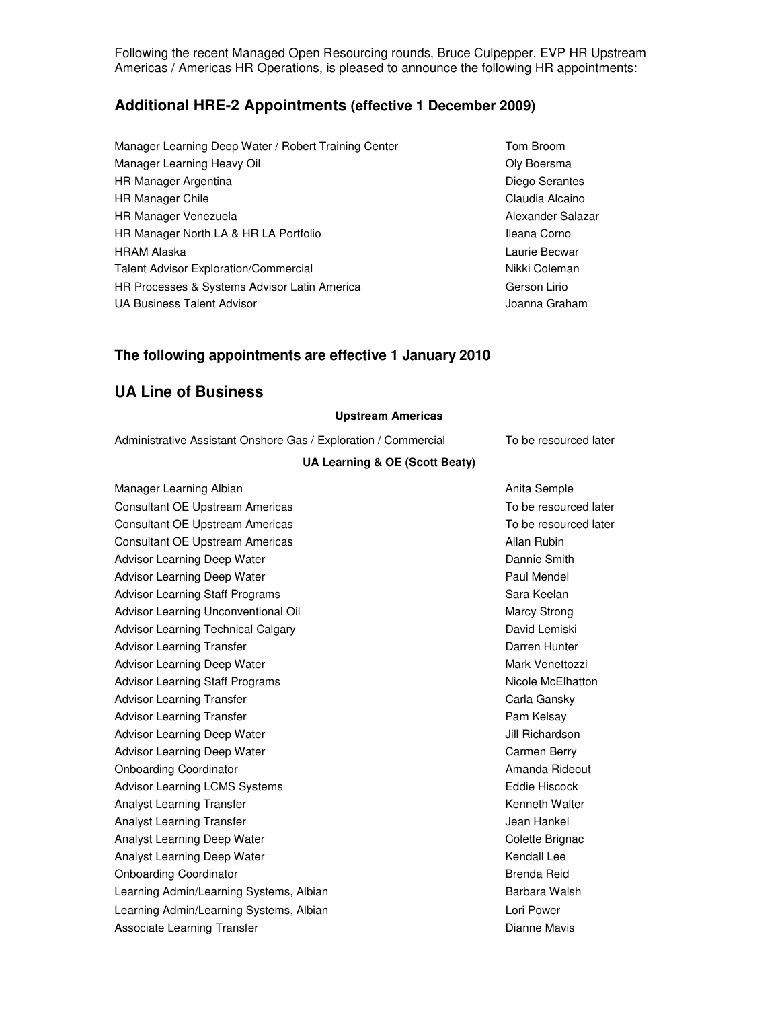Following the recent Managed Open Resourcing rounds, Bruce Culpepper, EVP HR Upstream Americas / Americas HR Operations, is pleased to announce the following HR appointments:

# **Additional HRE-2 Appointments (effective 1 December 2009)**

- Manager Learning Deep Water / Robert Training Center Tom Broom Manager Learning Heavy Oil **Contract Contract Contract Contract Contract Contract Contract Contract Contract Contract Contract Contract Contract Contract Contract Contract Contract Contract Contract Contract Contract Contr** HR Manager Argentina **Diego Serantes** HR Manager Chile Communication Claudia Alcaino HR Manager Venezuela **Alexander Salazar** Alexander Salazar HR Manager North LA & HR LA Portfolio **Ileana Corno** HRAM Alaska **Laurie Becware Becware Becware Becware Becware Becware Becware Becware Becware Becware Becware Becware Becware Becware Becware Becware Becware Becware Becware Becware Becware Becware Becware Becware Becware Be** Talent Advisor Exploration/Commercial Nikki Coleman Nikki Coleman HR Processes & Systems Advisor Latin America Gerson Lirio UA Business Talent Advisor Joanna Graham
	-

## **The following appointments are effective 1 January 2010**

# **UA Line of Business**

## **Upstream Americas**

Administrative Assistant Onshore Gas / Exploration / Commercial To be resourced later

## **UA Learning & OE (Scott Beaty)**

| Anita Semple          |
|-----------------------|
| To be resourced later |
| To be resourced later |
| Allan Rubin           |
| Dannie Smith          |
| Paul Mendel           |
| Sara Keelan           |
| <b>Marcy Strong</b>   |
| David Lemiski         |
| Darren Hunter         |
| Mark Venettozzi       |
| Nicole McElhatton     |
| Carla Gansky          |
| Pam Kelsay            |
| Jill Richardson       |
| Carmen Berry          |
| Amanda Rideout        |
| Eddie Hiscock         |
| Kenneth Walter        |
| Jean Hankel           |
| Colette Brignac       |
| Kendall Lee           |
| <b>Brenda Reid</b>    |
| Barbara Walsh         |
| Lori Power            |
| Dianne Mavis          |
|                       |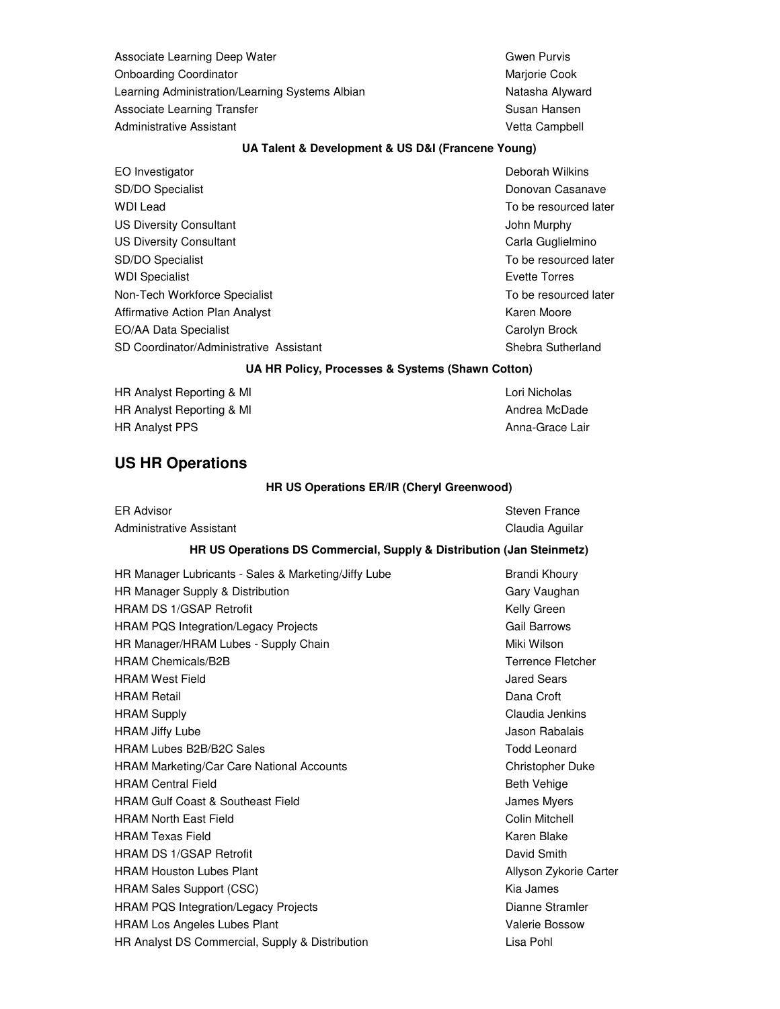Associate Learning Deep Water Gwen Purvis Gwen Purvis Onboarding Coordinator **Marjorie Cook** Marjorie Cook Learning Administration/Learning Systems Albian Natasha Alyward Associate Learning Transfer Susan Hansen Susan Hansen Administrative Assistant **Vetta Campbell** 

## **UA Talent & Development & US D&I (Francene Young)**

| EO Investigator                         | Deborah Wilkins       |
|-----------------------------------------|-----------------------|
| SD/DO Specialist                        | Donovan Casanave      |
| WDI Lead                                | To be resourced later |
| <b>US Diversity Consultant</b>          | John Murphy           |
| <b>US Diversity Consultant</b>          | Carla Guglielmino     |
| SD/DO Specialist                        | To be resourced later |
| <b>WDI Specialist</b>                   | Evette Torres         |
| Non-Tech Workforce Specialist           | To be resourced later |
| Affirmative Action Plan Analyst         | Karen Moore           |
| EO/AA Data Specialist                   | Carolyn Brock         |
| SD Coordinator/Administrative Assistant | Shebra Sutherland     |
|                                         |                       |

## **UA HR Policy, Processes & Systems (Shawn Cotton)**

| HR Analyst Reporting & MI |  |
|---------------------------|--|
| HR Analyst Reporting & MI |  |
| <b>HR Analyst PPS</b>     |  |

# Lori Nicholas Andrea McDade her allyst PPS and the set of the set of the set of the set of the Anna-Grace Lair

# **US HR Operations**

## **HR US Operations ER/IR (Cheryl Greenwood)**

| <b>ER Advisor</b>        |  |  |  |  | Steven France   |  |
|--------------------------|--|--|--|--|-----------------|--|
| Administrative Assistant |  |  |  |  | Claudia Aguilar |  |
|                          |  |  |  |  |                 |  |

## **HR US Operations DS Commercial, Supply & Distribution (Jan Steinmetz)**

| HR Manager Lubricants - Sales & Marketing/Jiffy Lube | Brandi Khoury            |
|------------------------------------------------------|--------------------------|
| HR Manager Supply & Distribution                     | Gary Vaughan             |
| <b>HRAM DS 1/GSAP Retrofit</b>                       | Kelly Green              |
| <b>HRAM PQS Integration/Legacy Projects</b>          | <b>Gail Barrows</b>      |
| HR Manager/HRAM Lubes - Supply Chain                 | Miki Wilson              |
| <b>HRAM Chemicals/B2B</b>                            | <b>Terrence Fletcher</b> |
| <b>HRAM West Field</b>                               | <b>Jared Sears</b>       |
| <b>HRAM Retail</b>                                   | Dana Croft               |
| <b>HRAM Supply</b>                                   | Claudia Jenkins          |
| <b>HRAM Jiffy Lube</b>                               | Jason Rabalais           |
| <b>HRAM Lubes B2B/B2C Sales</b>                      | <b>Todd Leonard</b>      |
| <b>HRAM Marketing/Car Care National Accounts</b>     | Christopher Duke         |
| <b>HRAM Central Field</b>                            | <b>Beth Vehige</b>       |
| <b>HRAM Gulf Coast &amp; Southeast Field</b>         | James Myers              |
| <b>HRAM North East Field</b>                         | Colin Mitchell           |
| <b>HRAM Texas Field</b>                              | Karen Blake              |
| <b>HRAM DS 1/GSAP Retrofit</b>                       | David Smith              |
| <b>HRAM Houston Lubes Plant</b>                      | Allyson Zykorie Carter   |
| <b>HRAM Sales Support (CSC)</b>                      | Kia James                |
| HRAM PQS Integration/Legacy Projects                 | Dianne Stramler          |
| <b>HRAM Los Angeles Lubes Plant</b>                  | Valerie Bossow           |
| HR Analyst DS Commercial, Supply & Distribution      | Lisa Pohl                |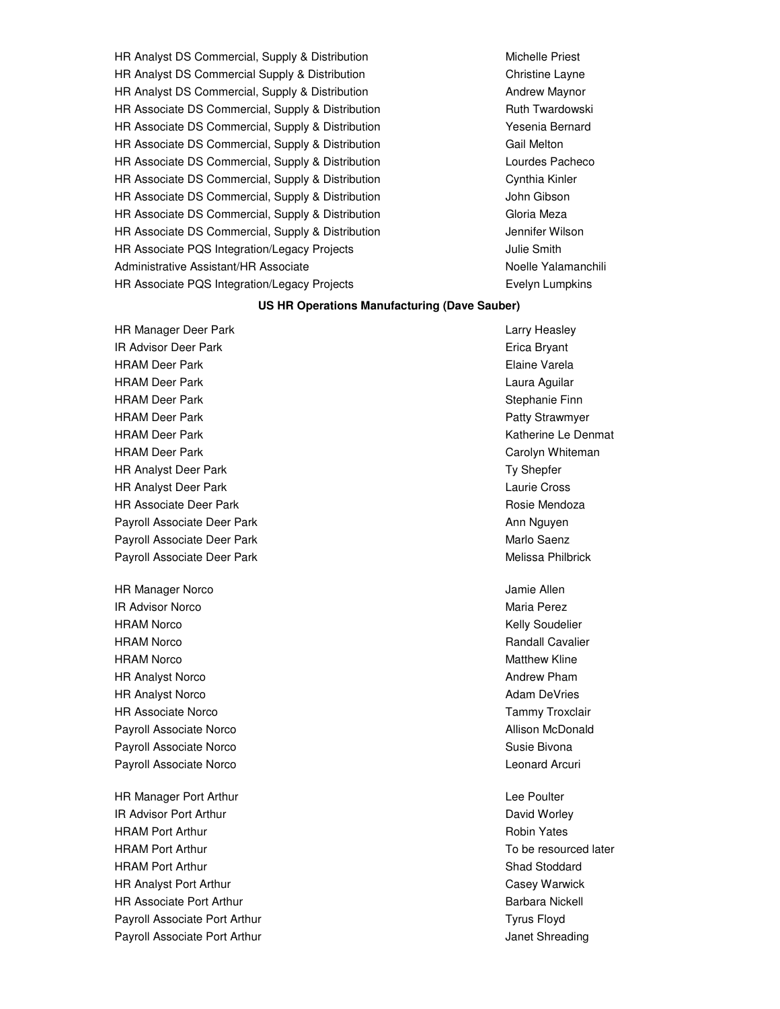HR Analyst DS Commercial, Supply & Distribution Michaelle Priest Michelle Priest HR Analyst DS Commercial Supply & Distribution Christian Christine Layne HR Analyst DS Commercial, Supply & Distribution **Andrew Maynor** Andrew Maynor HR Associate DS Commercial, Supply & Distribution Fundal Ruth Twardowski HR Associate DS Commercial, Supply & Distribution The Manuscript Sesenia Bernard HR Associate DS Commercial, Supply & Distribution Gaill Melton Gail Melton HR Associate DS Commercial, Supply & Distribution Lourdes Pacheconness Racheconness Pacheconness Lourdes Pacheco HR Associate DS Commercial, Supply & Distribution The Cynthia Kinler HR Associate DS Commercial, Supply & Distribution John Gibson HR Associate DS Commercial, Supply & Distribution Gloria Meza HR Associate DS Commercial, Supply & Distribution Jennifer Wilson HR Associate PQS Integration/Legacy Projects The Manuscriptum of the Smith Administrative Assistant/HR Associate Noelle Yalamanchili HR Associate PQS Integration/Legacy Projects **Example 19** Evelyn Lumpkins

#### **US HR Operations Manufacturing (Dave Sauber)**

HR Manager Deer Park Larry Heasley **IR Advisor Deer Park Erica Bryant Erica Bryant** HRAM Deer Park **Elaine Varela** HRAM Deer Park Laura Aguilar HRAM Deer Park Stephanie Finn HRAM Deer Park Patty Strawmyer HRAM Deer Park Katherine Le Denmat Katherine Le Denmat HRAM Deer Park Carolyn Whiteman Carolyn Whiteman HR Analyst Deer Park Ty Shepfer HR Analyst Deer Park Laurie Cross HR Associate Deer Park **Rosie Mendoza Rosie Mendoza Rosie Mendoza** Payroll Associate Deer Park Ann Nguyen and Ann Nguyen Ann Nguyen Payroll Associate Deer Park Marlo Saenz Payroll Associate Deer Park Melissa Philbrick

HR Manager Norco **Jamie Allen** Manager Norco **Jamie Allen IR Advisor Norco** Maria Perez HRAM Norco **Kelly Soudelier Kelly Soudelier Kelly Soudelier** HRAM Norco Randall Cavalier HRAM Norco **Matthew Kline** Matthew Kline **Matthew Kline** HR Analyst Norco **Andrew Pham** Andrew Pham HR Analyst Norco **Adam DeVries** Adam DeVries **Adam DeVries** HR Associate Norco Tammy Troxclair Payroll Associate Norco **Allison McDonald** Payroll Associate Norco **Susie Bivona** Biography Controller Associate Norco Susie Bivona Payroll Associate Norco **Leonard Arcuri Payroll Associate Norco** Leonard Arcuri

HR Manager Port Arthur Lee Poulter and the United States of the United States and Lee Poulter **IR Advisor Port Arthur David Worley Arthur David Worley Arthur David Worley Arthur David Worley Arthur David Worley** HRAM Port Arthur **Network Contract Contract Contract Contract Contract Contract Contract Contract Contract Contract Contract Contract Contract Contract Contract Contract Contract Contract Contract Contract Contract Contrac** HRAM Port Arthur To be resourced later HRAM Port Arthur Shad Stoddard Number 2012 12:30 Number 2012 12:30 Number 2013 12:30 Number 2014 12:30 Number 2014 12:30 Number 2014 12:30 Number 2014 12:30 Number 2014 12:30 Number 2014 12:30 Number 2014 12:30 Number 2014 HR Analyst Port Arthur Casey Warwick HR Associate Port Arthur **Barbara Nickell** Barbara Nickell Payroll Associate Port Arthur Tyrus Floyd Tyrus Floyd Payroll Associate Port Arthur **Contract Shreading** Contract Arthur Janet Shreading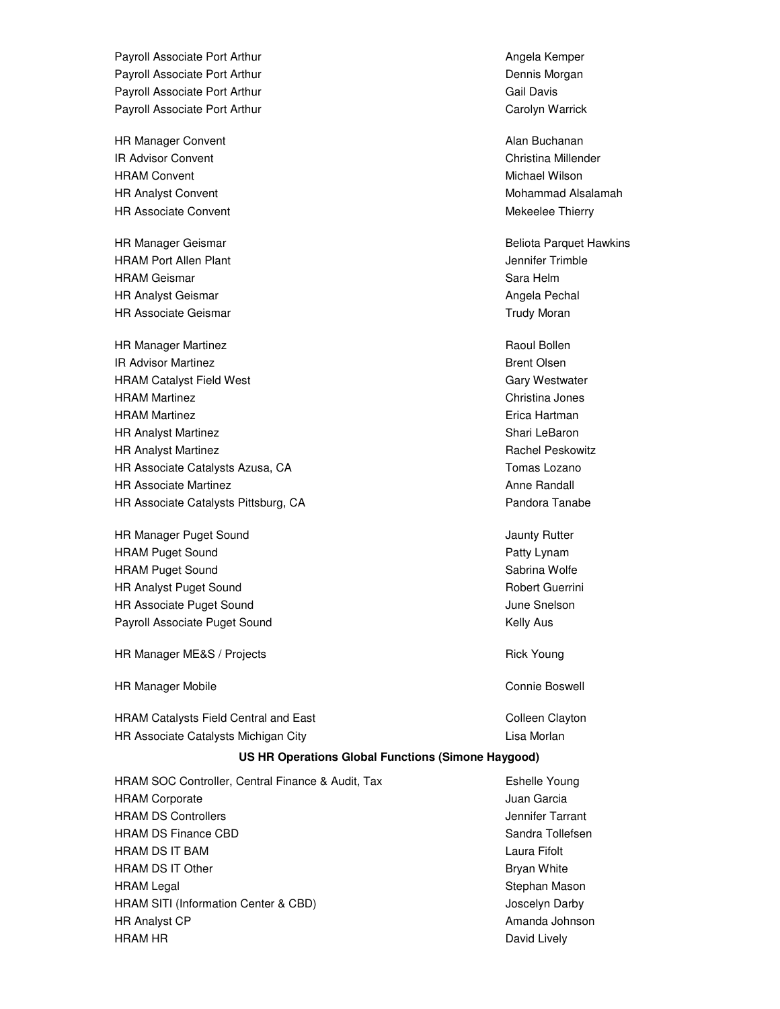Payroll Associate Port Arthur Angela Kemper Payroll Associate Port Arthur **Dennis Morgan** Dennis Morgan Payroll Associate Port Arthur Gail Davis Cail Davis Payroll Associate Port Arthur Carolyn Warrick Carolyn Warrick

HR Manager Convent Alan Buchanan Alan Buchanan Alan Buchanan **IR Advisor Convent Christina Millender** Christina Millender HRAM Convent **Michael Wilson** Michael Wilson HR Analyst Convent Mohammad Alsalamah Mohammad Alsalamah Mohammad Alsalamah Mohammad Alsalamah Mohammad Alsalamah Mohammad Alsalamah Mohammad Alsalamah Mohammad Alsalamah Mohammad Alsalamah Mohammad Alsalamah Mohammad Alsa HR Associate Convent Mexico Convent Mekeelee Thierry

HRAM Port Allen Plant Jennifer Trimble HRAM Geismar Sara Helm Sara Helm Sara Helm Sara Helm Sara Helm Sara Helm Sara Helm Sara Helm Sara Helm Sara Helm HR Analyst Geismar **Angela Pechal** Angela Pechal Angela Pechal HR Associate Geismar Trudy Moran Trudy Moran New York 1989

HR Manager Martinez **Raoul Bollen** Raoul Bollen **IR Advisor Martinez Community Community Community Community Community Community Community Community Community Community Community Community Community Community Community Community Community Community Community Community C** HRAM Catalyst Field West Gary Westwater HRAM Martinez Christina Jones HRAM Martinez **Example 2** and the state of the state of the state of the Erica Hartman HR Analyst Martinez **Shari Lebaron** Shari LeBaron HR Analyst Martinez **Rachel Peskowitz Rachel Peskowitz Rachel Peskowitz Rachel Peskowitz** HR Associate Catalysts Azusa, CA Tomas Lozano HR Associate Martinez **Annually Anne Randall** Anne Randall HR Associate Catalysts Pittsburg, CA **Pandora Tanabe** Pandora Tanabe

HR Manager Puget Sound **Jaunty Rutter Jaunty Rutter** HRAM Puget Sound **Patty Lynam** Patty Lynam Patty Lynam HRAM Puget Sound Sabrina Wolfe Engine Sabrina Wolfe Sabrina Wolfe Sabrina Wolfe Sabrina Wolfe Sabrina Wolfe Sabrina Wolfe Sabrina Wolfe Sabrina Wolfe Sabrina Wolfe Sabrina Wolfe Sabrina Sabrina Wolfe Sabrina Sabrina Sabrin HR Analyst Puget Sound **Robert Guerrini** Robert Guerrini **HR Associate Puget Sound Community Community Community Community Community Community Community Community Community** Payroll Associate Puget Sound **Kelly Australian Controller Australian** Kelly Aus

HR Manager ME&S / Projects **Rick Young** Rick Young

HR Manager Mobile **Connie Boswell** 

HRAM Catalysts Field Central and East Colleen Colleen Clayton HR Associate Catalysts Michigan City **Lisa Morlanges Contains Containers** Lisa Morlan

HR Manager Geismar **Beliota Paradical Paradical Paradical Paradical Paradical Paradical Paradical Paradical Paradical Paradical Paradical Paradical Paradical Paradical Paradical Paradical Paradical Paradical Paradical Para** 

#### **US HR Operations Global Functions (Simone Haygood)**

HRAM SOC Controller, Central Finance & Audit, Tax Eshelle Young HRAM Corporate **Juan Garcia** And The Juan Garcia And The Juan Garcia HRAM DS Controllers **Jennifer Tarrant** HRAM DS Finance CBD Sandra Tollefsen HRAM DS IT BAM Laura Fifolt HRAM DS IT Other **Bryan White** Bryan White HRAM Legal **Stephan Mason** Stephan Mason **Stephan Mason** HRAM SITI (Information Center & CBD) Joscelyn Darby HR Analyst CP **Amanda** Johnson **CP** Amanda Johnson **Amanda** Johnson HRAM HR
BERT AND THE DAVID CONTROL TO A LIFE OF THE DAVID LIVELY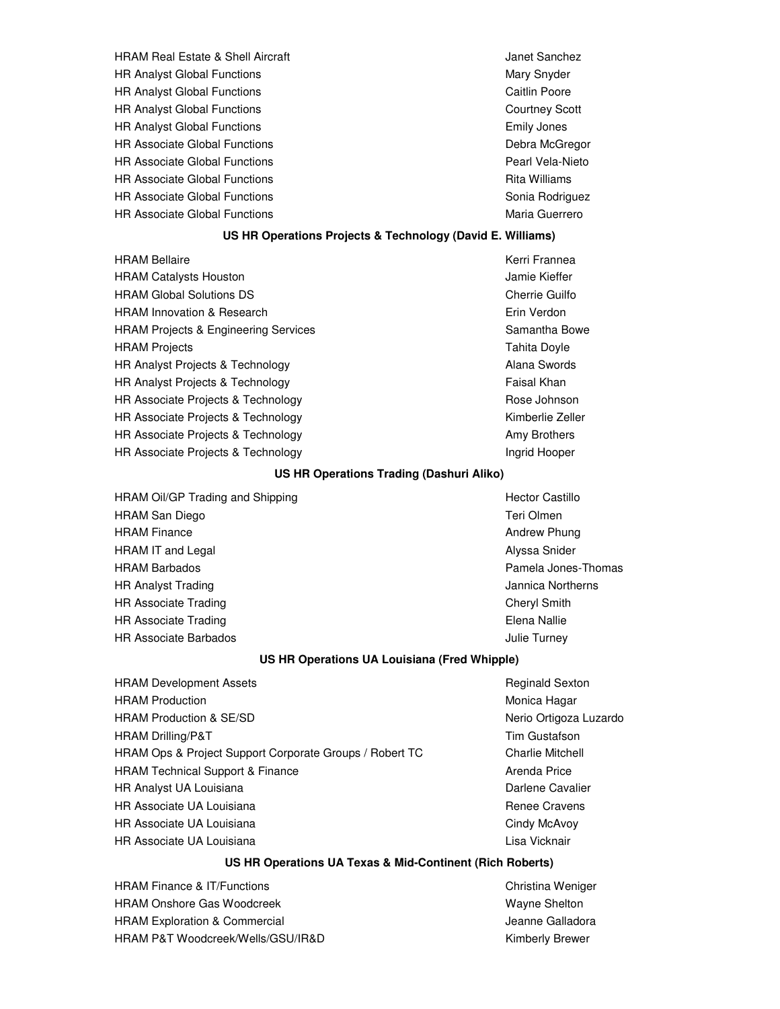| <b>HRAM Real Estate &amp; Shell Aircraft</b> |  |
|----------------------------------------------|--|
| <b>HR Analyst Global Functions</b>           |  |
| <b>HR Analyst Global Functions</b>           |  |
| <b>HR Analyst Global Functions</b>           |  |
| <b>HR Analyst Global Functions</b>           |  |
| <b>HR Associate Global Functions</b>         |  |
| <b>HR Associate Global Functions</b>         |  |
| <b>HR Associate Global Functions</b>         |  |
| <b>HR Associate Global Functions</b>         |  |
| <b>HR Associate Global Functions</b>         |  |
|                                              |  |

Janet Sanchez Mary Snyder **Caitlin Poore Courtney Scott** Emily Jones Debra McGregor Pearl Vela-Nieto **Rita Williams** Sonia Rodriguez Maria Guerrero

## **US HR Operations Projects & Technology (David E. Williams)**

HRAM Bellaire **Kerri Frannea** HRAM Catalysts Houston **Jamie Kieffer** HRAM Global Solutions DS Cherrie Guilfo HRAM Innovation & Research **Example 2018** Erin Verdon HRAM Projects & Engineering Services Samantha Bowe Samantha Bowe HRAM Projects Tahita Doyle HR Analyst Projects & Technology **Alana Swords** Alana Swords HR Analyst Projects & Technology **Faisal Khan** HR Associate Projects & Technology **Rose Johnson** Rose Johnson HR Associate Projects & Technology **Kimberlie Zeller** Kimberlie Zeller HR Associate Projects & Technology **Amy Brothers** Amy Brothers HR Associate Projects & Technology **Ingrid Hooper** Ingrid Hooper

#### **US HR Operations Trading (Dashuri Aliko)**

HRAM Oil/GP Trading and Shipping Hector Castillo Hector Castillo HRAM San Diego Teri Olmen and Teri Olmen and Teri Olmen and Teri Olmen and Teri Olmen and Teri Olmen and Teri HRAM Finance **Andrew Phung** Andrew Phung HRAM IT and Legal **Alyssa Snider** Alyssa Snider HRAM Barbados Pamela Jones-Thomas HR Analyst Trading The Communication of the Communication of the Jannica Northerns Jannica Northerns HR Associate Trading **Cheryl Smith** Cheryl Smith HR Associate Trading **Elena Nallie** HR Associate Barbados **Julie Turney Julie Turney Julie Turney** 

#### **US HR Operations UA Louisiana (Fred Whipple)**

| <b>HRAM Development Assets</b>                          | <b>Reginald Sexton</b>  |
|---------------------------------------------------------|-------------------------|
| <b>HRAM Production</b>                                  | Monica Hagar            |
| <b>HRAM Production &amp; SE/SD</b>                      | Nerio Ortigoza Luzardo  |
| HRAM Drilling/P&T                                       | Tim Gustafson           |
| HRAM Ops & Project Support Corporate Groups / Robert TC | <b>Charlie Mitchell</b> |
| <b>HRAM Technical Support &amp; Finance</b>             | Arenda Price            |
| <b>HR Analyst UA Louisiana</b>                          | Darlene Cavalier        |
| HR Associate UA Louisiana                               | Renee Cravens           |
| HR Associate UA Louisiana                               | Cindy McAvoy            |
| HR Associate UA Louisiana                               | Lisa Vicknair           |

# **US HR Operations UA Texas & Mid-Continent (Rich Roberts)**

HRAM Finance & IT/Functions Christian Weniger Christina Weniger HRAM Onshore Gas Woodcreek Wayne Shelton HRAM Exploration & Commercial developed and the state of the state of the state of the HRAM Exploration of the S HRAM P&T Woodcreek/Wells/GSU/IR&D Manual According the Minderly Brewer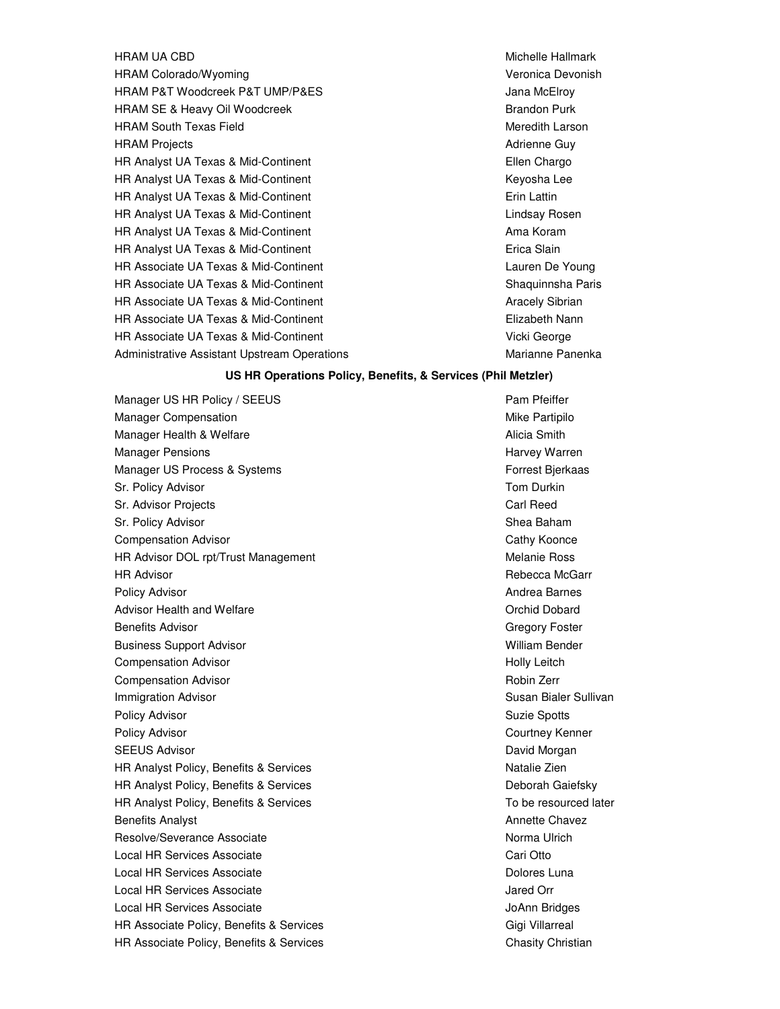HRAM UA CBD **Michelle Hallmark** Michelle Hallmark HRAM Colorado/Wyoming Veronica Devonish HRAM P&T Woodcreek P&T UMP/P&ES **Analyzia and State and Actual Active** Jana McElroy HRAM SE & Heavy Oil Woodcreek **Brandon Purk** Brandon Purk HRAM South Texas Field Meredith Larson and Meredith Larson HRAM Projects **Adrience Cuy Contract Contract Cuy** Contract Adrienne Guy HR Analyst UA Texas & Mid-Continent **Ellen Chargo** Ellen Chargo HR Analyst UA Texas & Mid-Continent The Context Context Context Context Context Context Context Context Context Context Context Context Context Context Context Context Context Context Context Context Context Context Contex HR Analyst UA Texas & Mid-Continent Erin Lattin Erin Lattin HR Analyst UA Texas & Mid-Continent Lindsay Rosen HR Analyst UA Texas & Mid-Continent Ama Koram Ama Koram HR Analyst UA Texas & Mid-Continent **Example 2018** Erica Slain HR Associate UA Texas & Mid-Continent Lauren De Young Lauren De Young HR Associate UA Texas & Mid-Continent Shaquinnsha Paris HR Associate UA Texas & Mid-Continent Mateur Aracely Sibrian HR Associate UA Texas & Mid-Continent Elizabeth Nann HR Associate UA Texas & Mid-Continent Vicki George Administrative Assistant Upstream Operations Marianne Panenka

#### **US HR Operations Policy, Benefits, & Services (Phil Metzler)**

Manager US HR Policy / SEEUS Pam Pfeiffer Manager Compensation **Mike Partipilo** Mike Partipilo Manager Health & Welfare Alicia Smith Alicia Smith Manager Pensions **Harvey Warren** Harvey Warren Harvey Warren Harvey Warren Harvey Warren Harvey Warren Harvey Warren Manager US Process & Systems Forrest Bjerkaas Sr. Policy Advisor **The Contract of Contract Contract Contract Contract Contract Contract Contract Contract Contract Contract Contract Contract Contract Contract Contract Contract Contract Contract Contract Contract Contra** Sr. Advisor Projects **Carl Reed** Sr. Policy Advisor Shea Baham Shea Baham Shea Baham Shea Baham Shea Baham Shea Baham Shea Baham Shea Baham Shea **Compensation Advisor** Cathy Koonce Cathy Koonce HR Advisor DOL rpt/Trust Management Melanie Ross HR Advisor **No. 2008 Rebecca McGarr** Rebecca McGarr Policy Advisor **Andrea Barnes Andrea Barnes Andrea Barnes Andrea Barnes Andrea Barnes** Advisor Health and Welfare **Orchid Dobard** Critics and Advisor Health and Welfare Orchid Dobard Benefits Advisor Communication Communication Communication Cregory Foster Business Support Advisor November 2008 and the United States of William Bender **Compensation Advisor Holly Leitch Holly Leitch Holly Leitch** Compensation Advisor **Robin Zerres and Advisor** Robin Zerres and Advisor Robin Zerres and Advisor Robin Zerres and Advisor Robin Zerres and Advisor Robin Zerres and Advisor Robin Zerres and Advisor Robin Zerres and Advisor **Immigration Advisor** Susan Bialer Sullivan Bialer Sullivan Bialer Sullivan Bialer Sullivan Policy Advisor **Suzie Spotts** Suzie Spotts Suzie Spotts Suzie Spotts Suzie Spotts Suzie Spotts Policy Advisor Courtney Kenner SEEUS Advisor **David Morgan** Section 2014 12:30 and 2014 12:30 and 2014 12:30 and 2014 12:30 and 2014 12:30 and 2014 12:30 and 2014 12:30 and 2014 12:30 and 2014 12:30 and 2014 12:30 and 2014 12:30 and 2014 12:30 and 2014 HR Analyst Policy, Benefits & Services Natalie Zien Natalie Zien HR Analyst Policy, Benefits & Services **Deborah Gaiefsky** Deborah Gaiefsky HR Analyst Policy, Benefits & Services To be resourced later Benefits Analyst **Analyst** Annette Chavez **Annette Chavez Annette Chavez Annette Chavez** Resolve/Severance Associate Norma Ulrich Local HR Services Associate Cari Otto Cari Otto Cari Otto Cari Otto Local HR Services Associate **Dolores Luna** Dolores Luna Local HR Services Associate **Jared Orrests** Jared Orr Local HR Services Associate And The JoAnn Bridges Associate And The JoAnn Bridges HR Associate Policy, Benefits & Services Giga Controller and Gigi Villarreal HR Associate Policy, Benefits & Services Chasity Christian Chasity Christian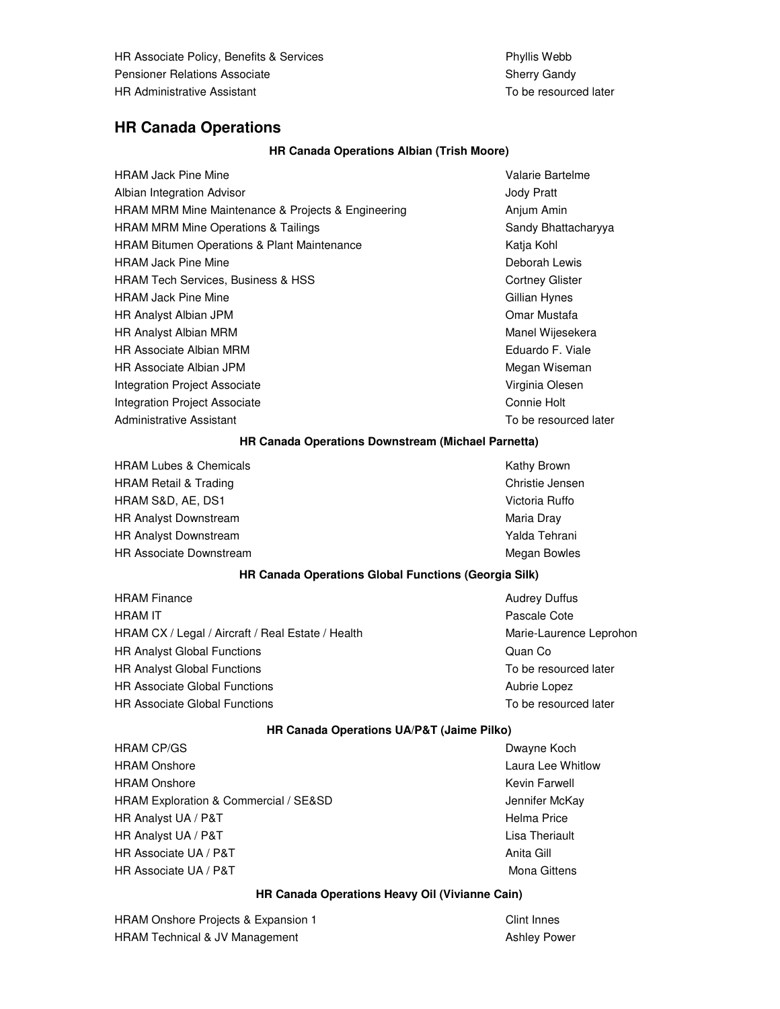HR Associate Policy, Benefits & Services **Phyllis Webb** Phyllis Webb Pensioner Relations Associate Sherry Gandy Sherry Gandy HR Administrative Assistant To be resourced later

## **HR Canada Operations**

## **HR Canada Operations Albian (Trish Moore)**

| <b>HRAM Jack Pine Mine</b>                         | Valarie Bartelme       |
|----------------------------------------------------|------------------------|
| Albian Integration Advisor                         | Jody Pratt             |
| HRAM MRM Mine Maintenance & Projects & Engineering | Anjum Amin             |
| <b>HRAM MRM Mine Operations &amp; Tailings</b>     | Sandy Bhattacharyya    |
| HRAM Bitumen Operations & Plant Maintenance        | Katja Kohl             |
| <b>HRAM Jack Pine Mine</b>                         | Deborah Lewis          |
| <b>HRAM Tech Services, Business &amp; HSS</b>      | <b>Cortney Glister</b> |
| <b>HRAM Jack Pine Mine</b>                         | Gillian Hynes          |
| <b>HR Analyst Albian JPM</b>                       | Omar Mustafa           |
| <b>HR Analyst Albian MRM</b>                       | Manel Wijesekera       |
| <b>HR Associate Albian MRM</b>                     | Eduardo F. Viale       |
| HR Associate Albian JPM                            | Megan Wiseman          |
| <b>Integration Project Associate</b>               | Virginia Olesen        |
| Integration Project Associate                      | Connie Holt            |
| Administrative Assistant                           | To be resourced later  |

#### **HR Canada Operations Downstream (Michael Parnetta)**

HRAM Lubes & Chemicals **Kathy Brown Kathy Brown** HRAM Retail & Trading Christie Jensen HRAM S&D, AE, DS1 Victoria Ruffo HR Analyst Downstream Maria Dray HR Analyst Downstream Yalda Tehrani Walda Tehrani Walda Tehrani Walda Tehrani Yalda Tehrani HR Associate Downstream **Megan Bowles** Megan Bowles

## **HR Canada Operations Global Functions (Georgia Silk)**

HRAM Finance **Audrey Duffus Audrey Duffus Audrey Duffus HRAM IT** Pascale Cote HRAM CX / Legal / Aircraft / Real Estate / Health Marie-Laurence Leprohon HR Analyst Global Functions **Community** Cuan Community Cuan Community Cuan Community Cuan Community Cuan Community HR Analyst Global Functions **To be resourced later** To be resourced later HR Associate Global Functions **Aubrie Lopez Aubrie Lopez Aubrie Lopez** HR Associate Global Functions The Control of the Tomas To be resourced later

#### **HR Canada Operations UA/P&T (Jaime Pilko)**

HRAM CP/GS **Dwayne Koch** HRAM Onshore **Laura Lee Whitlow** Laura Lee Whitlow HRAM Onshore **Kevin Farwell HRAM Onshore** Kevin Farwell HRAM Exploration & Commercial / SE&SD Jennifer McKay HR Analyst UA / P&T **Helma Price Helma Price Helma Price** HR Analyst UA / P&T Lisa Theriault HR Associate UA / P&T Anita Gill Anita Gill Anita Gill Anita Gill Anita Gill Anita Gill HR Associate UA / P&T Mona Gittens

## **HR Canada Operations Heavy Oil (Vivianne Cain)**

HRAM Onshore Projects & Expansion 1 Clint Innes HRAM Technical & JV Management Ashley Power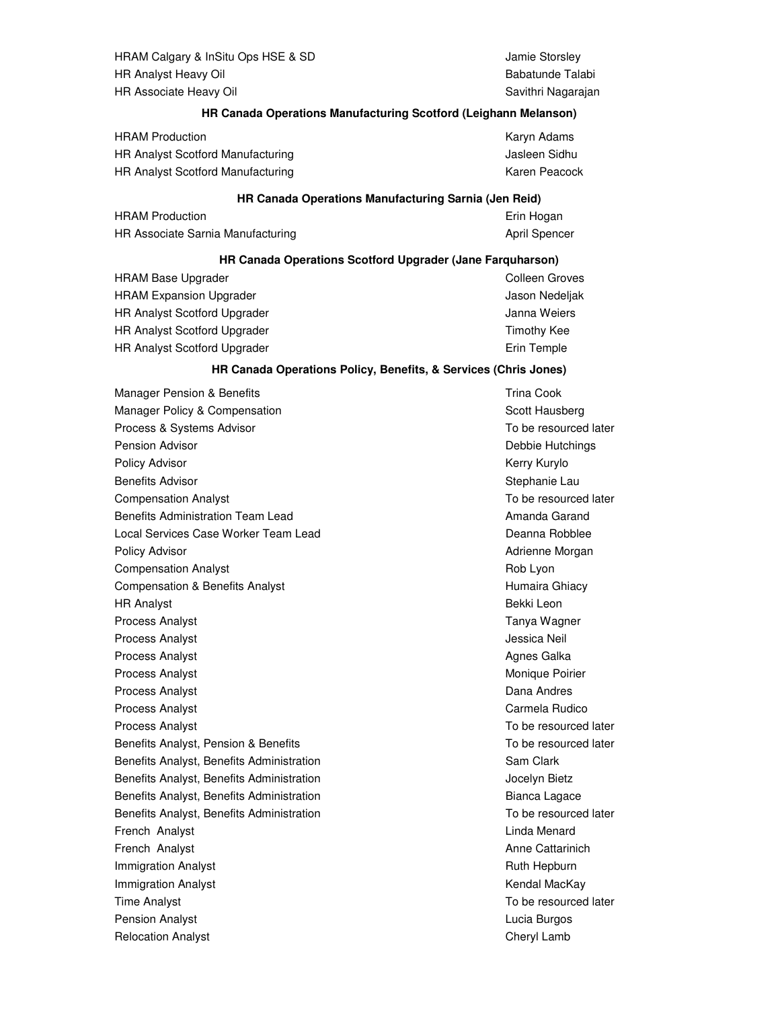HRAM Calgary & InSitu Ops HSE & SD Jamie Storsley HR Analyst Heavy Oil **Babatunde Talabi** Babatunde Talabi HR Associate Heavy Oil **Savithri Nagarajan** Savithri Nagarajan

#### **HR Canada Operations Manufacturing Scotford (Leighann Melanson)**

| <b>HRAM Production</b>            | Karyn Adams   |
|-----------------------------------|---------------|
| HR Analyst Scotford Manufacturing | Jasleen Sidhu |
| HR Analyst Scotford Manufacturing | Karen Peacock |

#### **HR Canada Operations Manufacturing Sarnia (Jen Reid)**

| <b>HRAM Production</b>            | Erin Hogan    |
|-----------------------------------|---------------|
| HR Associate Sarnia Manufacturing | April Spencer |

#### **HR Canada Operations Scotford Upgrader (Jane Farquharson)**

| <b>HRAM Base Upgrader</b>           | Colleen Groves |
|-------------------------------------|----------------|
| <b>HRAM Expansion Upgrader</b>      | Jason Nedeljak |
| <b>HR Analyst Scotford Upgrader</b> | Janna Weiers   |
| <b>HR Analyst Scotford Upgrader</b> | Timothy Kee    |
| <b>HR Analyst Scotford Upgrader</b> | Erin Temple    |

#### **HR Canada Operations Policy, Benefits, & Services (Chris Jones)**

Manager Pension & Benefits Trina Cook Manager Policy & Compensation Scott Hausberg Scott Hausberg Process & Systems Advisor To be resourced later Pension Advisor Debbie Hutchings Policy Advisor **Kerry Kurylo Policy Advisor** Kerry Kurylo Benefits Advisor National According to the Stephanie Laurence of Stephanie Laurence Controller Stephanie Laurence Controller Stephanie Laurence Controller Stephanie Laurence Controller Stephanie Laurence Controller Stephan Compensation Analyst To be resourced later Benefits Administration Team Lead Amanda Garand Amanda Garand Local Services Case Worker Team Lead **Deanna Robblee** Deanna Robblee Policy Advisor **Advisor Advisor** Advisor **Advisor Advisor Advisor Advisor Advisor Advisor Advisor Advisor Advisor Advisor Advisor Advisor Advisor Advisor Advisor Advisor Advisor Advisor** Compensation Analyst **Rob Lyon** Rob Lyon Compensation & Benefits Analyst **Humaira Ghiacy** Humaira Ghiacy HR Analyst Bekki Leon Process Analyst **Tanya Wagner** Process Analyst **Tanya Wagner** Process Analyst **Tanya Wagner** Process Analyst **Analyst Analysis** Jessica Neil Analyst Analyst Analyst Analyst Analyst Analyst Analyst Analyst Analyst Analyst Analyst Analyst Analyst Analyst Analyst Analyst Analyst Analyst Analyst Analyst Analyst Analys Process Analyst **Agnes Galka** Agnes Galka Agnes Galka Agnes Galka Agnes Galka Agnes Agnes Agnes Agnes Agnes Agnes Agnes Agnes Agnes Agnes Agnes Agnes Agnes Agnes Agnes Agnes Agnes Agnes Agnes Agnes Agnes Agnes Agnes Agnes Process Analyst **Monique Poirier** Monique Poirier Process Analyst Dana Andres Process Analyst **Carmela Rudico Carmela Rudico Carmela Rudico Carmela Rudico** Process Analyst **To be resourced later**  $\blacksquare$ Benefits Analyst, Pension & Benefits To be resourced later Benefits Analyst, Benefits Administration Sam Clark Benefits Analyst, Benefits Administration Jocelyn Bietz Benefits Analyst, Benefits Administration by a state of the Bianca Lagace Benefits Analyst, Benefits Administration To be resourced later French Analyst **Linda Menard** Communication Communication Communication Communication Communication Communication French Analyst **Analyst** Analyst Anne Cattarinich **Analyst** Anne Cattarinich **Immigration Analyst Ruth Hepburn Commission Analyst Ruth Hepburn Ruth Hepburn Immigration Analyst Contract Contract Contract Contract Contract Contract Contract Contract Contract Contract Contract Contract Contract Contract Contract Contract Contract Contract Contract Contract Contract Contract C** Time Analyst To be resourced later Pension Analyst Lucia Burgos Relocation Analyst **Cheryl Lamb** Cheryl Lamb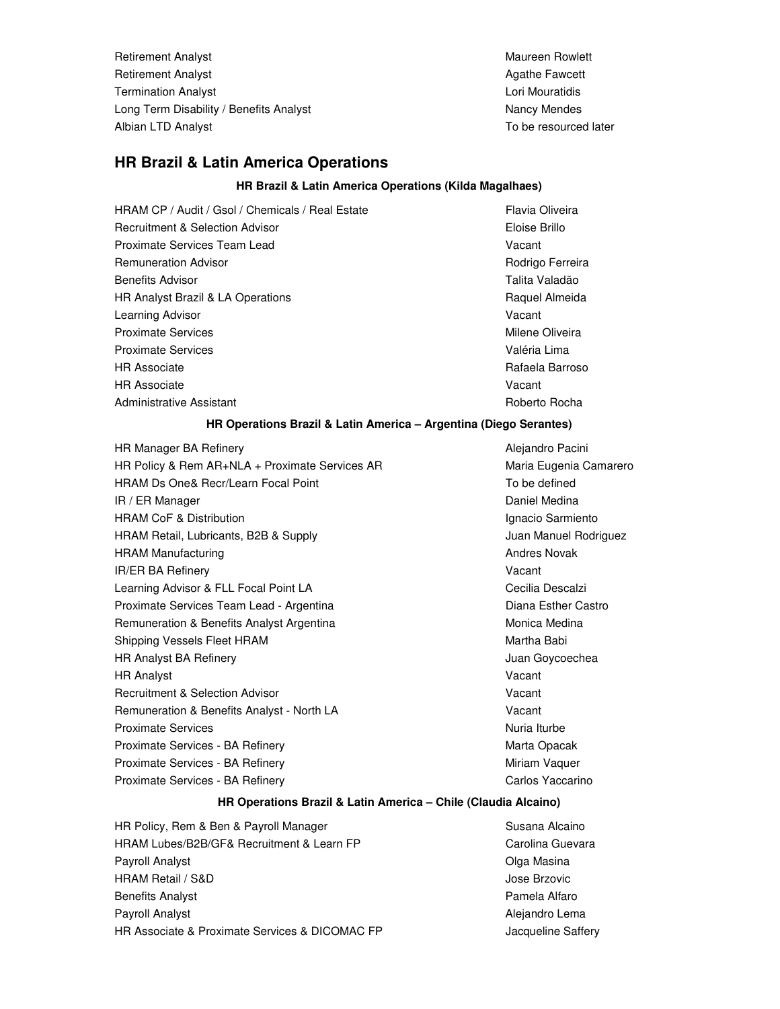Retirement Analyst Maureen Rowlett Maureen Rowlett Retirement Analyst Agathe Fawcett Analyst Agathe Fawcett Agathe Fawcett Agathe Fawcett Agathe Fawcett Agathe Fawcett **Termination Analyst** Lori Mouratidis **Lori Mouratidis** Long Term Disability / Benefits Analyst Nancy Mendes Nancy Mendes Albian LTD Analyst **The Contract of Albian LTD** Analyst To be resourced later

# **HR Brazil & Latin America Operations**

## **HR Brazil & Latin America Operations (Kilda Magalhaes)**

HRAM CP / Audit / Gsol / Chemicals / Real Estate Flavia Oliveira Recruitment & Selection Advisor **Eloise Brillo** Proximate Services Team Lead Vacant Remuneration Advisor **Roman Communist Communist Communist Communist Communist Communist Communist Communist Communist Communist Communist Communist Communist Communist Communist Communist Communist Communist Communist Comm** Benefits Advisor **Talita Valadão** e a Constituição de Sensidade de Talita Valadão HR Analyst Brazil & LA Operations **Raquel Almeida** Raquel Almeida Learning Advisor **Vacant** Proximate Services **Milene** Oliveira Proximate Services Valéria Lima HR Associate Rafaela Barroso HR Associate Vacant Administrative Assistant **Roberto Roberto Roberto Roberto Roberto** Roberto Rocha

## **HR Operations Brazil & Latin America – Argentina (Diego Serantes)**

HR Manager BA Refinery **Alexandro Pacini** Alejandro Pacini HR Policy & Rem AR+NLA + Proximate Services AR Maria Eugenia Camarero HRAM Ds One& Recr/Learn Focal Point To be defined IR / ER Manager Daniel Medina HRAM CoF & Distribution **Ignacio Sarmiento** Ignacio Sarmiento HRAM Retail, Lubricants, B2B & Supply **Fig. 2018** 3 Juan Manuel Rodriguez HRAM Manufacturing **Andres Novak** Andres Novak IR/ER BA Refinery **Vacant** Learning Advisor & FLL Focal Point LA Cecilia Descalzi Proximate Services Team Lead - Argentina **Diana Esther Castro** Diana Esther Castro Remuneration & Benefits Analyst Argentina Monica Medina Monica Medina Shipping Vessels Fleet HRAM Martha Babi HR Analyst BA Refinery **Matter and Strutter and Strutter and Strutter and Analyst BA Refinery** Juan Goycoechea HR Analyst Vacant Recruitment & Selection Advisor Vacant Remuneration & Benefits Analyst - North LA Vacant Proximate Services **Nuria Iturbe** Proximate Services - BA Refinery Marta Opacak National Marta Opacak Proximate Services - BA Refinery Miriam Vaquer Miriam Vaquer Proximate Services - BA Refinery Carlos Yaccarino Carlos Yaccarino

## **HR Operations Brazil & Latin America – Chile (Claudia Alcaino)**

HR Policy, Rem & Ben & Payroll Manager Susana Alcaino HRAM Lubes/B2B/GF& Recruitment & Learn FP Carolina Guevara Payroll Analyst Olga Masina HRAM Retail / S&D Jose Brzovic Benefits Analyst **Pamela Alfaro** Payroll Analyst **Alexandro Lema Payroll Analyst** Alejandro Lema HR Associate & Proximate Services & DICOMAC FP **Franch Account Saffers** Jacqueline Saffery